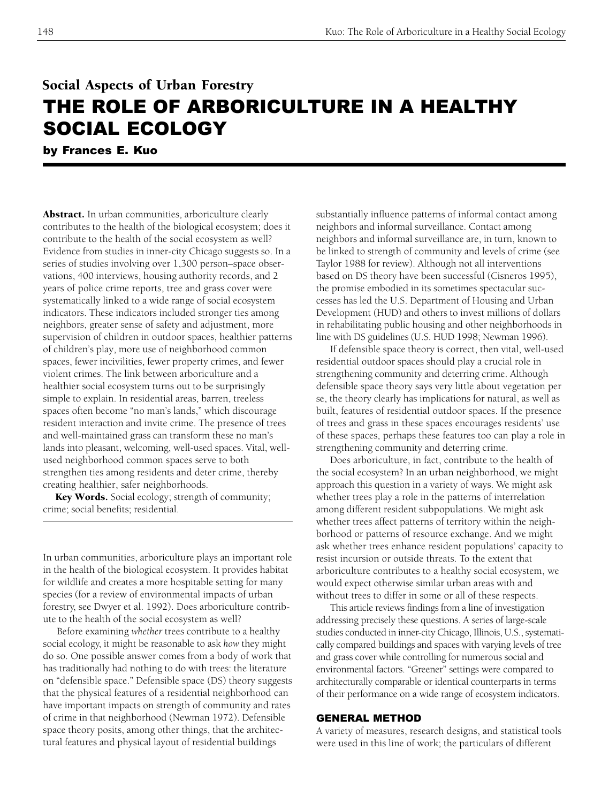# Social Aspects of Urban Forestry THE ROLE OF ARBORICULTURE IN A HEALTHY SOCIAL ECOLOGY

by Frances E. Kuo

Abstract. In urban communities, arboriculture clearly contributes to the health of the biological ecosystem; does it contribute to the health of the social ecosystem as well? Evidence from studies in inner-city Chicago suggests so. In a series of studies involving over 1,300 person–space observations, 400 interviews, housing authority records, and 2 years of police crime reports, tree and grass cover were systematically linked to a wide range of social ecosystem indicators. These indicators included stronger ties among neighbors, greater sense of safety and adjustment, more supervision of children in outdoor spaces, healthier patterns of children's play, more use of neighborhood common spaces, fewer incivilities, fewer property crimes, and fewer violent crimes. The link between arboriculture and a healthier social ecosystem turns out to be surprisingly simple to explain. In residential areas, barren, treeless spaces often become "no man's lands," which discourage resident interaction and invite crime. The presence of trees and well-maintained grass can transform these no man's lands into pleasant, welcoming, well-used spaces. Vital, wellused neighborhood common spaces serve to both strengthen ties among residents and deter crime, thereby creating healthier, safer neighborhoods.

Key Words. Social ecology; strength of community; crime; social benefits; residential.

In urban communities, arboriculture plays an important role in the health of the biological ecosystem. It provides habitat for wildlife and creates a more hospitable setting for many species (for a review of environmental impacts of urban forestry, see Dwyer et al. 1992). Does arboriculture contribute to the health of the social ecosystem as well?

Before examining *whether* trees contribute to a healthy social ecology, it might be reasonable to ask *how* they might do so. One possible answer comes from a body of work that has traditionally had nothing to do with trees: the literature on "defensible space." Defensible space (DS) theory suggests that the physical features of a residential neighborhood can have important impacts on strength of community and rates of crime in that neighborhood (Newman 1972). Defensible space theory posits, among other things, that the architectural features and physical layout of residential buildings

substantially influence patterns of informal contact among neighbors and informal surveillance. Contact among neighbors and informal surveillance are, in turn, known to be linked to strength of community and levels of crime (see Taylor 1988 for review). Although not all interventions based on DS theory have been successful (Cisneros 1995), the promise embodied in its sometimes spectacular successes has led the U.S. Department of Housing and Urban Development (HUD) and others to invest millions of dollars in rehabilitating public housing and other neighborhoods in line with DS guidelines (U.S. HUD 1998; Newman 1996).

If defensible space theory is correct, then vital, well-used residential outdoor spaces should play a crucial role in strengthening community and deterring crime. Although defensible space theory says very little about vegetation per se, the theory clearly has implications for natural, as well as built, features of residential outdoor spaces. If the presence of trees and grass in these spaces encourages residents' use of these spaces, perhaps these features too can play a role in strengthening community and deterring crime.

Does arboriculture, in fact, contribute to the health of the social ecosystem? In an urban neighborhood, we might approach this question in a variety of ways. We might ask whether trees play a role in the patterns of interrelation among different resident subpopulations. We might ask whether trees affect patterns of territory within the neighborhood or patterns of resource exchange. And we might ask whether trees enhance resident populations' capacity to resist incursion or outside threats. To the extent that arboriculture contributes to a healthy social ecosystem, we would expect otherwise similar urban areas with and without trees to differ in some or all of these respects.

This article reviews findings from a line of investigation addressing precisely these questions. A series of large-scale studies conducted in inner-city Chicago, Illinois, U.S., systematically compared buildings and spaces with varying levels of tree and grass cover while controlling for numerous social and environmental factors. "Greener" settings were compared to architecturally comparable or identical counterparts in terms of their performance on a wide range of ecosystem indicators.

# GENERAL METHOD

A variety of measures, research designs, and statistical tools were used in this line of work; the particulars of different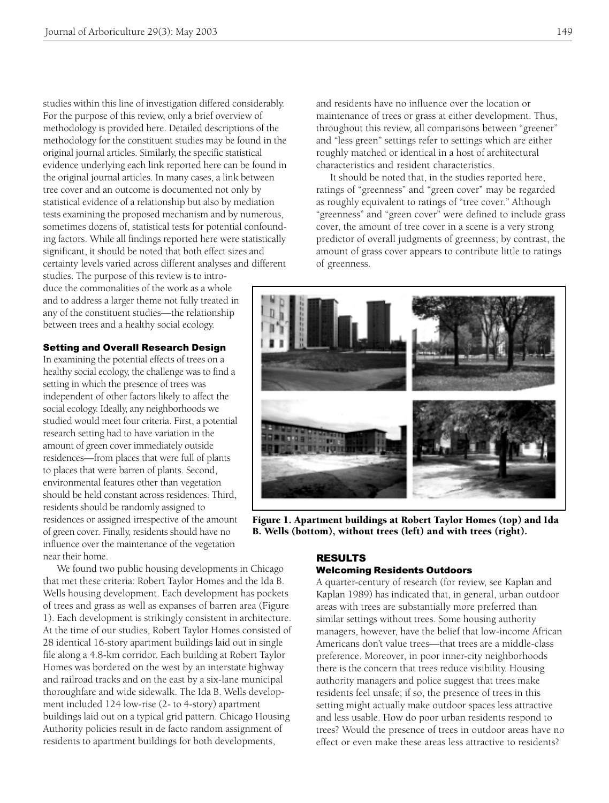studies within this line of investigation differed considerably. For the purpose of this review, only a brief overview of methodology is provided here. Detailed descriptions of the methodology for the constituent studies may be found in the original journal articles. Similarly, the specific statistical evidence underlying each link reported here can be found in the original journal articles. In many cases, a link between tree cover and an outcome is documented not only by statistical evidence of a relationship but also by mediation tests examining the proposed mechanism and by numerous, sometimes dozens of, statistical tests for potential confounding factors. While all findings reported here were statistically significant, it should be noted that both effect sizes and certainty levels varied across different analyses and different

studies. The purpose of this review is to introduce the commonalities of the work as a whole and to address a larger theme not fully treated in any of the constituent studies—the relationship between trees and a healthy social ecology.

Setting and Overall Research Design

In examining the potential effects of trees on a healthy social ecology, the challenge was to find a setting in which the presence of trees was independent of other factors likely to affect the social ecology. Ideally, any neighborhoods we studied would meet four criteria. First, a potential research setting had to have variation in the amount of green cover immediately outside residences—from places that were full of plants to places that were barren of plants. Second, environmental features other than vegetation should be held constant across residences. Third, residents should be randomly assigned to residences or assigned irrespective of the amount of green cover. Finally, residents should have no influence over the maintenance of the vegetation near their home.

We found two public housing developments in Chicago that met these criteria: Robert Taylor Homes and the Ida B. Wells housing development. Each development has pockets of trees and grass as well as expanses of barren area (Figure 1). Each development is strikingly consistent in architecture. At the time of our studies, Robert Taylor Homes consisted of 28 identical 16-story apartment buildings laid out in single file along a 4.8-km corridor. Each building at Robert Taylor Homes was bordered on the west by an interstate highway and railroad tracks and on the east by a six-lane municipal thoroughfare and wide sidewalk. The Ida B. Wells development included 124 low-rise (2- to 4-story) apartment buildings laid out on a typical grid pattern. Chicago Housing Authority policies result in de facto random assignment of residents to apartment buildings for both developments,

and residents have no influence over the location or maintenance of trees or grass at either development. Thus, throughout this review, all comparisons between "greener" and "less green" settings refer to settings which are either roughly matched or identical in a host of architectural characteristics and resident characteristics.

It should be noted that, in the studies reported here, ratings of "greenness" and "green cover" may be regarded as roughly equivalent to ratings of "tree cover." Although "greenness" and "green cover" were defined to include grass cover, the amount of tree cover in a scene is a very strong predictor of overall judgments of greenness; by contrast, the amount of grass cover appears to contribute little to ratings of greenness.



Figure 1. Apartment buildings at Robert Taylor Homes (top) and Ida B. Wells (bottom), without trees (left) and with trees (right).

# RESULTS

## Welcoming Residents Outdoors

A quarter-century of research (for review, see Kaplan and Kaplan 1989) has indicated that, in general, urban outdoor areas with trees are substantially more preferred than similar settings without trees. Some housing authority managers, however, have the belief that low-income African Americans don't value trees—that trees are a middle-class preference. Moreover, in poor inner-city neighborhoods there is the concern that trees reduce visibility. Housing authority managers and police suggest that trees make residents feel unsafe; if so, the presence of trees in this setting might actually make outdoor spaces less attractive and less usable. How do poor urban residents respond to trees? Would the presence of trees in outdoor areas have no effect or even make these areas less attractive to residents?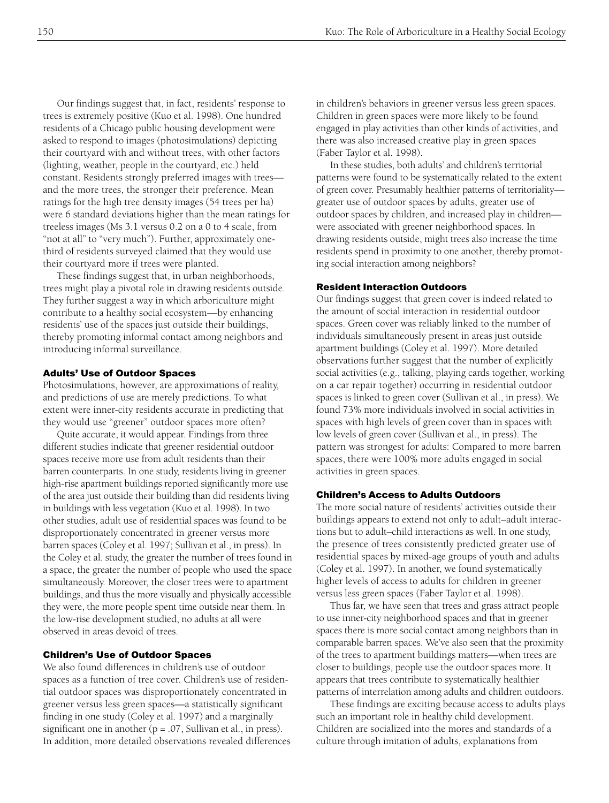Our findings suggest that, in fact, residents' response to trees is extremely positive (Kuo et al. 1998). One hundred residents of a Chicago public housing development were asked to respond to images (photosimulations) depicting their courtyard with and without trees, with other factors (lighting, weather, people in the courtyard, etc.) held constant. Residents strongly preferred images with trees and the more trees, the stronger their preference. Mean ratings for the high tree density images (54 trees per ha) were 6 standard deviations higher than the mean ratings for treeless images (Ms 3.1 versus 0.2 on a 0 to 4 scale, from "not at all" to "very much"). Further, approximately onethird of residents surveyed claimed that they would use their courtyard more if trees were planted.

These findings suggest that, in urban neighborhoods, trees might play a pivotal role in drawing residents outside. They further suggest a way in which arboriculture might contribute to a healthy social ecosystem—by enhancing residents' use of the spaces just outside their buildings, thereby promoting informal contact among neighbors and introducing informal surveillance.

## Adults' Use of Outdoor Spaces

Photosimulations, however, are approximations of reality, and predictions of use are merely predictions. To what extent were inner-city residents accurate in predicting that they would use "greener" outdoor spaces more often?

Quite accurate, it would appear. Findings from three different studies indicate that greener residential outdoor spaces receive more use from adult residents than their barren counterparts. In one study, residents living in greener high-rise apartment buildings reported significantly more use of the area just outside their building than did residents living in buildings with less vegetation (Kuo et al. 1998). In two other studies, adult use of residential spaces was found to be disproportionately concentrated in greener versus more barren spaces (Coley et al. 1997; Sullivan et al., in press). In the Coley et al. study, the greater the number of trees found in a space, the greater the number of people who used the space simultaneously. Moreover, the closer trees were to apartment buildings, and thus the more visually and physically accessible they were, the more people spent time outside near them. In the low-rise development studied, no adults at all were observed in areas devoid of trees.

# Children's Use of Outdoor Spaces

We also found differences in children's use of outdoor spaces as a function of tree cover. Children's use of residential outdoor spaces was disproportionately concentrated in greener versus less green spaces—a statistically significant finding in one study (Coley et al. 1997) and a marginally significant one in another  $(p = .07,$  Sullivan et al., in press). In addition, more detailed observations revealed differences in children's behaviors in greener versus less green spaces. Children in green spaces were more likely to be found engaged in play activities than other kinds of activities, and there was also increased creative play in green spaces (Faber Taylor et al. 1998).

In these studies, both adults' and children's territorial patterns were found to be systematically related to the extent of green cover. Presumably healthier patterns of territoriality greater use of outdoor spaces by adults, greater use of outdoor spaces by children, and increased play in children were associated with greener neighborhood spaces. In drawing residents outside, might trees also increase the time residents spend in proximity to one another, thereby promoting social interaction among neighbors?

#### Resident Interaction Outdoors

Our findings suggest that green cover is indeed related to the amount of social interaction in residential outdoor spaces. Green cover was reliably linked to the number of individuals simultaneously present in areas just outside apartment buildings (Coley et al. 1997). More detailed observations further suggest that the number of explicitly social activities (e.g., talking, playing cards together, working on a car repair together) occurring in residential outdoor spaces is linked to green cover (Sullivan et al., in press). We found 73% more individuals involved in social activities in spaces with high levels of green cover than in spaces with low levels of green cover (Sullivan et al., in press). The pattern was strongest for adults: Compared to more barren spaces, there were 100% more adults engaged in social activities in green spaces.

# Children's Access to Adults Outdoors

The more social nature of residents' activities outside their buildings appears to extend not only to adult–adult interactions but to adult–child interactions as well. In one study, the presence of trees consistently predicted greater use of residential spaces by mixed-age groups of youth and adults (Coley et al. 1997). In another, we found systematically higher levels of access to adults for children in greener versus less green spaces (Faber Taylor et al. 1998).

Thus far, we have seen that trees and grass attract people to use inner-city neighborhood spaces and that in greener spaces there is more social contact among neighbors than in comparable barren spaces. We've also seen that the proximity of the trees to apartment buildings matters—when trees are closer to buildings, people use the outdoor spaces more. It appears that trees contribute to systematically healthier patterns of interrelation among adults and children outdoors.

These findings are exciting because access to adults plays such an important role in healthy child development. Children are socialized into the mores and standards of a culture through imitation of adults, explanations from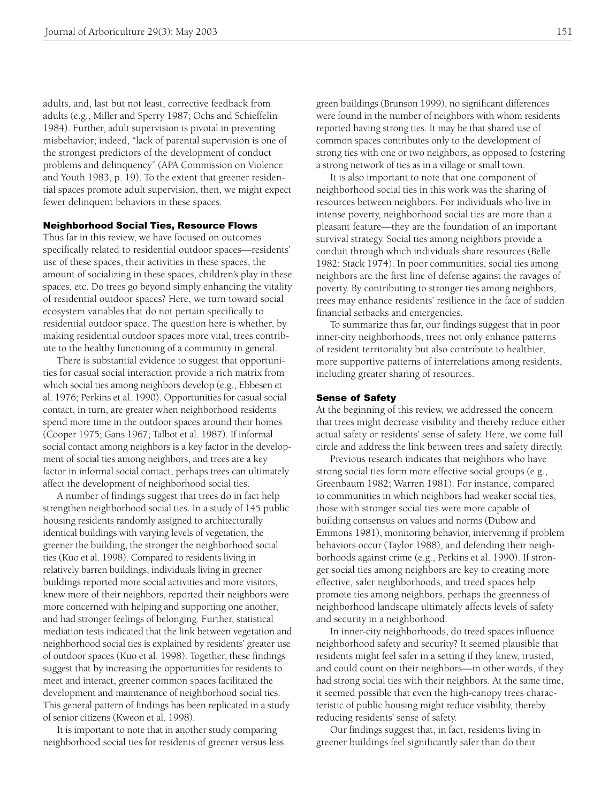adults, and, last but not least, corrective feedback from adults (e.g., Miller and Sperry 1987; Ochs and Schieffelin 1984). Further, adult supervision is pivotal in preventing misbehavior; indeed, "lack of parental supervision is one of the strongest predictors of the development of conduct problems and delinquency" (APA Commission on Violence and Youth 1983, p. 19). To the extent that greener residential spaces promote adult supervision, then, we might expect fewer delinquent behaviors in these spaces.

## Neighborhood Social Ties, Resource Flows

Thus far in this review, we have focused on outcomes specifically related to residential outdoor spaces—residents' use of these spaces, their activities in these spaces, the amount of socializing in these spaces, children's play in these spaces, etc. Do trees go beyond simply enhancing the vitality of residential outdoor spaces? Here, we turn toward social ecosystem variables that do not pertain specifically to residential outdoor space. The question here is whether, by making residential outdoor spaces more vital, trees contribute to the healthy functioning of a community in general.

There is substantial evidence to suggest that opportunities for casual social interaction provide a rich matrix from which social ties among neighbors develop (e.g., Ebbesen et al. 1976; Perkins et al. 1990). Opportunities for casual social contact, in turn, are greater when neighborhood residents spend more time in the outdoor spaces around their homes (Cooper 1975; Gans 1967; Talbot et al. 1987). If informal social contact among neighbors is a key factor in the development of social ties among neighbors, and trees are a key factor in informal social contact, perhaps trees can ultimately affect the development of neighborhood social ties.

A number of findings suggest that trees do in fact help strengthen neighborhood social ties. In a study of 145 public housing residents randomly assigned to architecturally identical buildings with varying levels of vegetation, the greener the building, the stronger the neighborhood social ties (Kuo et al. 1998). Compared to residents living in relatively barren buildings, individuals living in greener buildings reported more social activities and more visitors, knew more of their neighbors, reported their neighbors were more concerned with helping and supporting one another, and had stronger feelings of belonging. Further, statistical mediation tests indicated that the link between vegetation and neighborhood social ties is explained by residents' greater use of outdoor spaces (Kuo et al. 1998). Together, these findings suggest that by increasing the opportunities for residents to meet and interact, greener common spaces facilitated the development and maintenance of neighborhood social ties. This general pattern of findings has been replicated in a study of senior citizens (Kweon et al. 1998).

It is important to note that in another study comparing neighborhood social ties for residents of greener versus less

green buildings (Brunson 1999), no significant differences were found in the number of neighbors with whom residents reported having strong ties. It may be that shared use of common spaces contributes only to the development of strong ties with one or two neighbors, as opposed to fostering a strong network of ties as in a village or small town.

It is also important to note that one component of neighborhood social ties in this work was the sharing of resources between neighbors. For individuals who live in intense poverty, neighborhood social ties are more than a pleasant feature—they are the foundation of an important survival strategy. Social ties among neighbors provide a conduit through which individuals share resources (Belle 1982; Stack 1974). In poor communities, social ties among neighbors are the first line of defense against the ravages of poverty. By contributing to stronger ties among neighbors, trees may enhance residents' resilience in the face of sudden financial setbacks and emergencies.

To summarize thus far, our findings suggest that in poor inner-city neighborhoods, trees not only enhance patterns of resident territoriality but also contribute to healthier, more supportive patterns of interrelations among residents, including greater sharing of resources.

#### Sense of Safety

At the beginning of this review, we addressed the concern that trees might decrease visibility and thereby reduce either actual safety or residents' sense of safety. Here, we come full circle and address the link between trees and safety directly.

Previous research indicates that neighbors who have strong social ties form more effective social groups (e.g., Greenbaum 1982; Warren 1981). For instance, compared to communities in which neighbors had weaker social ties, those with stronger social ties were more capable of building consensus on values and norms (Dubow and Emmons 1981), monitoring behavior, intervening if problem behaviors occur (Taylor 1988), and defending their neighborhoods against crime (e.g., Perkins et al. 1990). If stronger social ties among neighbors are key to creating more effective, safer neighborhoods, and treed spaces help promote ties among neighbors, perhaps the greenness of neighborhood landscape ultimately affects levels of safety and security in a neighborhood.

In inner-city neighborhoods, do treed spaces influence neighborhood safety and security? It seemed plausible that residents might feel safer in a setting if they knew, trusted, and could count on their neighbors—in other words, if they had strong social ties with their neighbors. At the same time, it seemed possible that even the high-canopy trees characteristic of public housing might reduce visibility, thereby reducing residents' sense of safety.

Our findings suggest that, in fact, residents living in greener buildings feel significantly safer than do their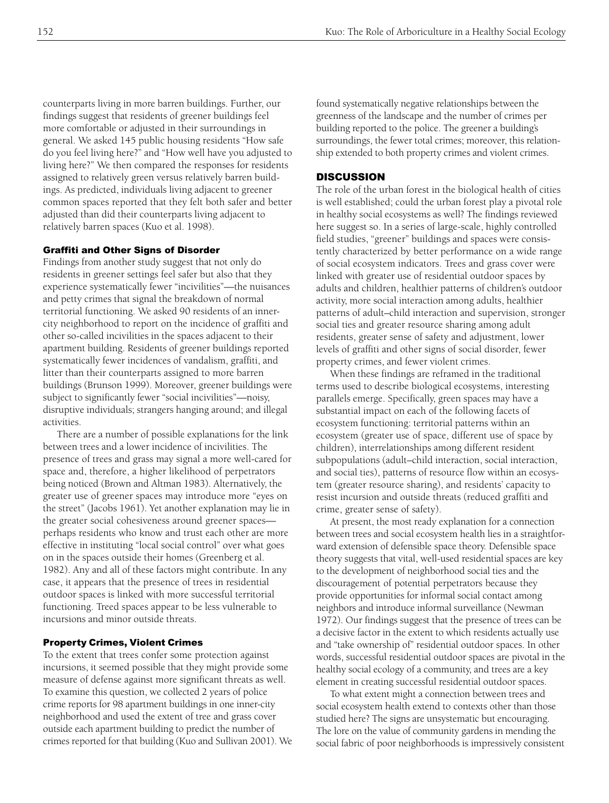counterparts living in more barren buildings. Further, our findings suggest that residents of greener buildings feel more comfortable or adjusted in their surroundings in general. We asked 145 public housing residents "How safe do you feel living here?" and "How well have you adjusted to living here?" We then compared the responses for residents assigned to relatively green versus relatively barren buildings. As predicted, individuals living adjacent to greener common spaces reported that they felt both safer and better adjusted than did their counterparts living adjacent to relatively barren spaces (Kuo et al. 1998).

#### Graffiti and Other Signs of Disorder

Findings from another study suggest that not only do residents in greener settings feel safer but also that they experience systematically fewer "incivilities"—the nuisances and petty crimes that signal the breakdown of normal territorial functioning. We asked 90 residents of an innercity neighborhood to report on the incidence of graffiti and other so-called incivilities in the spaces adjacent to their apartment building. Residents of greener buildings reported systematically fewer incidences of vandalism, graffiti, and litter than their counterparts assigned to more barren buildings (Brunson 1999). Moreover, greener buildings were subject to significantly fewer "social incivilities"—noisy, disruptive individuals; strangers hanging around; and illegal activities.

There are a number of possible explanations for the link between trees and a lower incidence of incivilities. The presence of trees and grass may signal a more well-cared for space and, therefore, a higher likelihood of perpetrators being noticed (Brown and Altman 1983). Alternatively, the greater use of greener spaces may introduce more "eyes on the street" (Jacobs 1961). Yet another explanation may lie in the greater social cohesiveness around greener spaces perhaps residents who know and trust each other are more effective in instituting "local social control" over what goes on in the spaces outside their homes (Greenberg et al. 1982). Any and all of these factors might contribute. In any case, it appears that the presence of trees in residential outdoor spaces is linked with more successful territorial functioning. Treed spaces appear to be less vulnerable to incursions and minor outside threats.

# Property Crimes, Violent Crimes

To the extent that trees confer some protection against incursions, it seemed possible that they might provide some measure of defense against more significant threats as well. To examine this question, we collected 2 years of police crime reports for 98 apartment buildings in one inner-city neighborhood and used the extent of tree and grass cover outside each apartment building to predict the number of crimes reported for that building (Kuo and Sullivan 2001). We

found systematically negative relationships between the greenness of the landscape and the number of crimes per building reported to the police. The greener a building's surroundings, the fewer total crimes; moreover, this relationship extended to both property crimes and violent crimes.

#### **DISCUSSION**

The role of the urban forest in the biological health of cities is well established; could the urban forest play a pivotal role in healthy social ecosystems as well? The findings reviewed here suggest so. In a series of large-scale, highly controlled field studies, "greener" buildings and spaces were consistently characterized by better performance on a wide range of social ecosystem indicators. Trees and grass cover were linked with greater use of residential outdoor spaces by adults and children, healthier patterns of children's outdoor activity, more social interaction among adults, healthier patterns of adult–child interaction and supervision, stronger social ties and greater resource sharing among adult residents, greater sense of safety and adjustment, lower levels of graffiti and other signs of social disorder, fewer property crimes, and fewer violent crimes.

When these findings are reframed in the traditional terms used to describe biological ecosystems, interesting parallels emerge. Specifically, green spaces may have a substantial impact on each of the following facets of ecosystem functioning: territorial patterns within an ecosystem (greater use of space, different use of space by children), interrelationships among different resident subpopulations (adult–child interaction, social interaction, and social ties), patterns of resource flow within an ecosystem (greater resource sharing), and residents' capacity to resist incursion and outside threats (reduced graffiti and crime, greater sense of safety).

At present, the most ready explanation for a connection between trees and social ecosystem health lies in a straightforward extension of defensible space theory. Defensible space theory suggests that vital, well-used residential spaces are key to the development of neighborhood social ties and the discouragement of potential perpetrators because they provide opportunities for informal social contact among neighbors and introduce informal surveillance (Newman 1972). Our findings suggest that the presence of trees can be a decisive factor in the extent to which residents actually use and "take ownership of" residential outdoor spaces. In other words, successful residential outdoor spaces are pivotal in the healthy social ecology of a community, and trees are a key element in creating successful residential outdoor spaces.

To what extent might a connection between trees and social ecosystem health extend to contexts other than those studied here? The signs are unsystematic but encouraging. The lore on the value of community gardens in mending the social fabric of poor neighborhoods is impressively consistent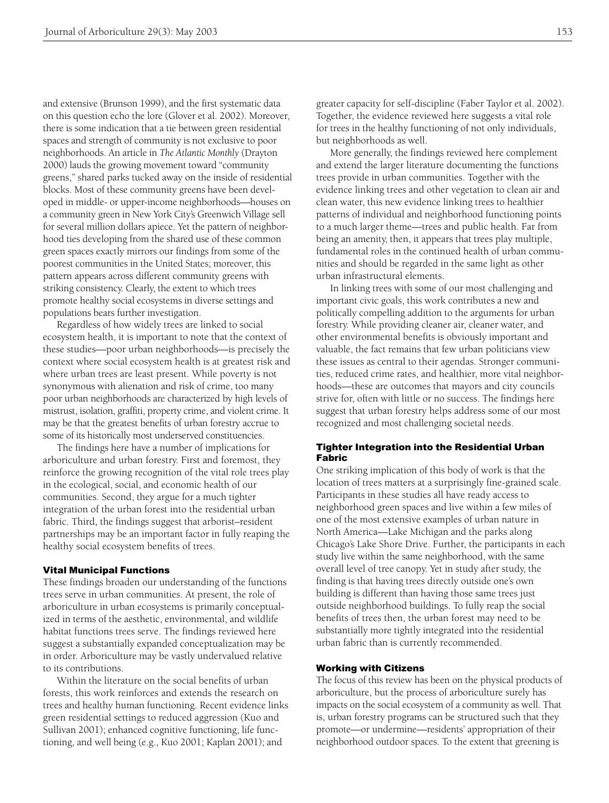and extensive (Brunson 1999), and the first systematic data on this question echo the lore (Glover et al. 2002). Moreover, there is some indication that a tie between green residential spaces and strength of community is not exclusive to poor neighborhoods. An article in *The Atlantic Monthly* (Drayton 2000) lauds the growing movement toward "community greens," shared parks tucked away on the inside of residential blocks. Most of these community greens have been developed in middle- or upper-income neighborhoods—houses on a community green in New York City's Greenwich Village sell for several million dollars apiece. Yet the pattern of neighborhood ties developing from the shared use of these common green spaces exactly mirrors our findings from some of the poorest communities in the United States; moreover, this pattern appears across different community greens with striking consistency. Clearly, the extent to which trees promote healthy social ecosystems in diverse settings and populations bears further investigation.

Regardless of how widely trees are linked to social ecosystem health, it is important to note that the context of these studies—poor urban neighborhoods—is precisely the context where social ecosystem health is at greatest risk and where urban trees are least present. While poverty is not synonymous with alienation and risk of crime, too many poor urban neighborhoods are characterized by high levels of mistrust, isolation, graffiti, property crime, and violent crime. It may be that the greatest benefits of urban forestry accrue to some of its historically most underserved constituencies.

The findings here have a number of implications for arboriculture and urban forestry. First and foremost, they reinforce the growing recognition of the vital role trees play in the ecological, social, and economic health of our communities. Second, they argue for a much tighter integration of the urban forest into the residential urban fabric. Third, the findings suggest that arborist–resident partnerships may be an important factor in fully reaping the healthy social ecosystem benefits of trees.

#### Vital Municipal Functions

These findings broaden our understanding of the functions trees serve in urban communities. At present, the role of arboriculture in urban ecosystems is primarily conceptualized in terms of the aesthetic, environmental, and wildlife habitat functions trees serve. The findings reviewed here suggest a substantially expanded conceptualization may be in order. Arboriculture may be vastly undervalued relative to its contributions.

Within the literature on the social benefits of urban forests, this work reinforces and extends the research on trees and healthy human functioning. Recent evidence links green residential settings to reduced aggression (Kuo and Sullivan 2001); enhanced cognitive functioning, life functioning, and well being (e.g., Kuo 2001; Kaplan 2001); and

greater capacity for self-discipline (Faber Taylor et al. 2002). Together, the evidence reviewed here suggests a vital role for trees in the healthy functioning of not only individuals, but neighborhoods as well.

More generally, the findings reviewed here complement and extend the larger literature documenting the functions trees provide in urban communities. Together with the evidence linking trees and other vegetation to clean air and clean water, this new evidence linking trees to healthier patterns of individual and neighborhood functioning points to a much larger theme—trees and public health. Far from being an amenity, then, it appears that trees play multiple, fundamental roles in the continued health of urban communities and should be regarded in the same light as other urban infrastructural elements.

In linking trees with some of our most challenging and important civic goals, this work contributes a new and politically compelling addition to the arguments for urban forestry. While providing cleaner air, cleaner water, and other environmental benefits is obviously important and valuable, the fact remains that few urban politicians view these issues as central to their agendas. Stronger communities, reduced crime rates, and healthier, more vital neighborhoods—these are outcomes that mayors and city councils strive for, often with little or no success. The findings here suggest that urban forestry helps address some of our most recognized and most challenging societal needs.

## Tighter Integration into the Residential Urban Fabric

One striking implication of this body of work is that the location of trees matters at a surprisingly fine-grained scale. Participants in these studies all have ready access to neighborhood green spaces and live within a few miles of one of the most extensive examples of urban nature in North America—Lake Michigan and the parks along Chicago's Lake Shore Drive. Further, the participants in each study live within the same neighborhood, with the same overall level of tree canopy. Yet in study after study, the finding is that having trees directly outside one's own building is different than having those same trees just outside neighborhood buildings. To fully reap the social benefits of trees then, the urban forest may need to be substantially more tightly integrated into the residential urban fabric than is currently recommended.

#### Working with Citizens

The focus of this review has been on the physical products of arboriculture, but the process of arboriculture surely has impacts on the social ecosystem of a community as well. That is, urban forestry programs can be structured such that they promote—or undermine—residents' appropriation of their neighborhood outdoor spaces. To the extent that greening is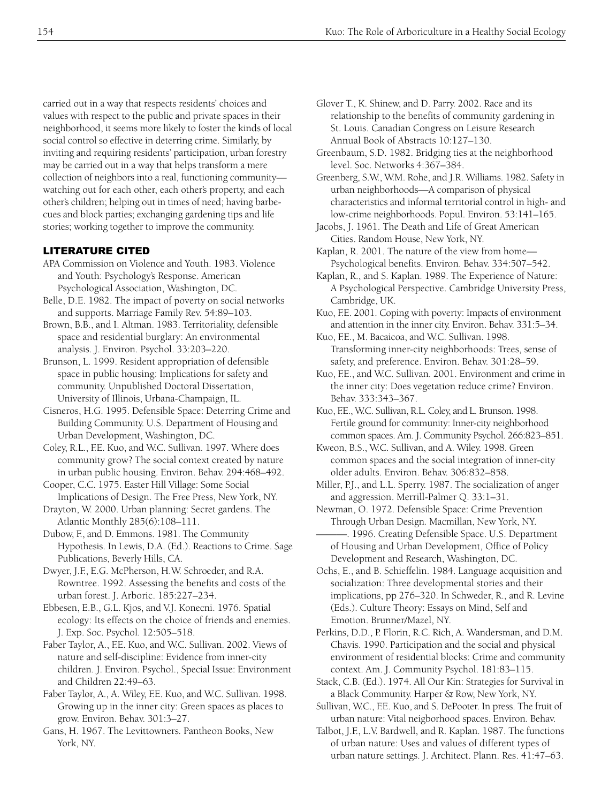carried out in a way that respects residents' choices and values with respect to the public and private spaces in their neighborhood, it seems more likely to foster the kinds of local social control so effective in deterring crime. Similarly, by inviting and requiring residents' participation, urban forestry may be carried out in a way that helps transform a mere collection of neighbors into a real, functioning community watching out for each other, each other's property, and each other's children; helping out in times of need; having barbecues and block parties; exchanging gardening tips and life stories; working together to improve the community.

# LITERATURE CITED

- APA Commission on Violence and Youth. 1983. Violence and Youth: Psychology's Response. American Psychological Association, Washington, DC.
- Belle, D.E. 1982. The impact of poverty on social networks and supports. Marriage Family Rev. 54:89–103.
- Brown, B.B., and I. Altman. 1983. Territoriality, defensible space and residential burglary: An environmental analysis. J. Environ. Psychol. 33:203–220.

Brunson, L. 1999. Resident appropriation of defensible space in public housing: Implications for safety and community. Unpublished Doctoral Dissertation, University of Illinois, Urbana-Champaign, IL.

Cisneros, H.G. 1995. Defensible Space: Deterring Crime and Building Community. U.S. Department of Housing and Urban Development, Washington, DC.

Coley, R.L., F.E. Kuo, and W.C. Sullivan. 1997. Where does community grow? The social context created by nature in urban public housing. Environ. Behav. 294:468–492.

Cooper, C.C. 1975. Easter Hill Village: Some Social Implications of Design. The Free Press, New York, NY.

Drayton, W. 2000. Urban planning: Secret gardens. The Atlantic Monthly 285(6):108–111.

Dubow, F., and D. Emmons. 1981. The Community Hypothesis. In Lewis, D.A. (Ed.). Reactions to Crime. Sage Publications, Beverly Hills, CA.

Dwyer, J.F., E.G. McPherson, H.W. Schroeder, and R.A. Rowntree. 1992. Assessing the benefits and costs of the urban forest. J. Arboric. 185:227–234.

Ebbesen, E.B., G.L. Kjos, and V.J. Konecni. 1976. Spatial ecology: Its effects on the choice of friends and enemies. J. Exp. Soc. Psychol. 12:505–518.

Faber Taylor, A., F.E. Kuo, and W.C. Sullivan. 2002. Views of nature and self-discipline: Evidence from inner-city children. J. Environ. Psychol., Special Issue: Environment and Children 22:49–63.

Faber Taylor, A., A. Wiley, F.E. Kuo, and W.C. Sullivan. 1998. Growing up in the inner city: Green spaces as places to grow. Environ. Behav. 301:3–27.

Gans, H. 1967. The Levittowners*.* Pantheon Books, New York, NY.

Glover T., K. Shinew, and D. Parry. 2002. Race and its relationship to the benefits of community gardening in St. Louis. Canadian Congress on Leisure Research Annual Book of Abstracts 10:127–130.

Greenbaum, S.D. 1982. Bridging ties at the neighborhood level. Soc. Networks 4:367–384.

Greenberg, S.W., W.M. Rohe, and J.R. Williams. 1982. Safety in urban neighborhoods—A comparison of physical characteristics and informal territorial control in high- and low-crime neighborhoods. Popul. Environ. 53:141–165.

Jacobs, J. 1961. The Death and Life of Great American Cities. Random House, New York, NY.

Kaplan, R. 2001. The nature of the view from home— Psychological benefits. Environ. Behav. 334:507–542.

Kaplan, R., and S. Kaplan. 1989. The Experience of Nature: A Psychological Perspective. Cambridge University Press, Cambridge, UK.

Kuo, F.E. 2001. Coping with poverty: Impacts of environment and attention in the inner city. Environ. Behav. 331:5–34.

Kuo, F.E., M. Bacaicoa, and W.C. Sullivan. 1998. Transforming inner-city neighborhoods: Trees, sense of safety, and preference. Environ. Behav. 301:28–59.

Kuo, F.E., and W.C. Sullivan. 2001. Environment and crime in the inner city: Does vegetation reduce crime? Environ. Behav. 333:343–367.

Kuo, F.E., W.C. Sullivan, R.L. Coley, and L. Brunson. 1998. Fertile ground for community: Inner-city neighborhood common spaces. Am. J. Community Psychol. 266:823–851.

Kweon, B.S., W.C. Sullivan, and A. Wiley. 1998. Green common spaces and the social integration of inner-city older adults. Environ. Behav. 306:832–858.

Miller, P.J., and L.L. Sperry. 1987. The socialization of anger and aggression. Merrill-Palmer Q. 33:1–31.

Newman, O. 1972. Defensible Space: Crime Prevention Through Urban Design*.* Macmillan, New York, NY.

-. 1996. Creating Defensible Space. U.S. Department of Housing and Urban Development, Office of Policy Development and Research, Washington, DC.

Ochs, E., and B. Schieffelin. 1984. Language acquisition and socialization: Three developmental stories and their implications, pp 276–320. In Schweder, R., and R. Levine (Eds.). Culture Theory: Essays on Mind, Self and Emotion. Brunner/Mazel, NY.

Perkins, D.D., P. Florin, R.C. Rich, A. Wandersman, and D.M. Chavis. 1990. Participation and the social and physical environment of residential blocks: Crime and community context. Am. J. Community Psychol. 181:83–115.

Stack, C.B. (Ed.). 1974. All Our Kin: Strategies for Survival in a Black Community. Harper & Row, New York, NY.

Sullivan, W.C., F.E. Kuo, and S. DePooter. In press. The fruit of urban nature: Vital neigborhood spaces. Environ. Behav.

Talbot, J.F., L.V. Bardwell, and R. Kaplan. 1987. The functions of urban nature: Uses and values of different types of urban nature settings. J. Architect. Plann. Res. 41:47–63.